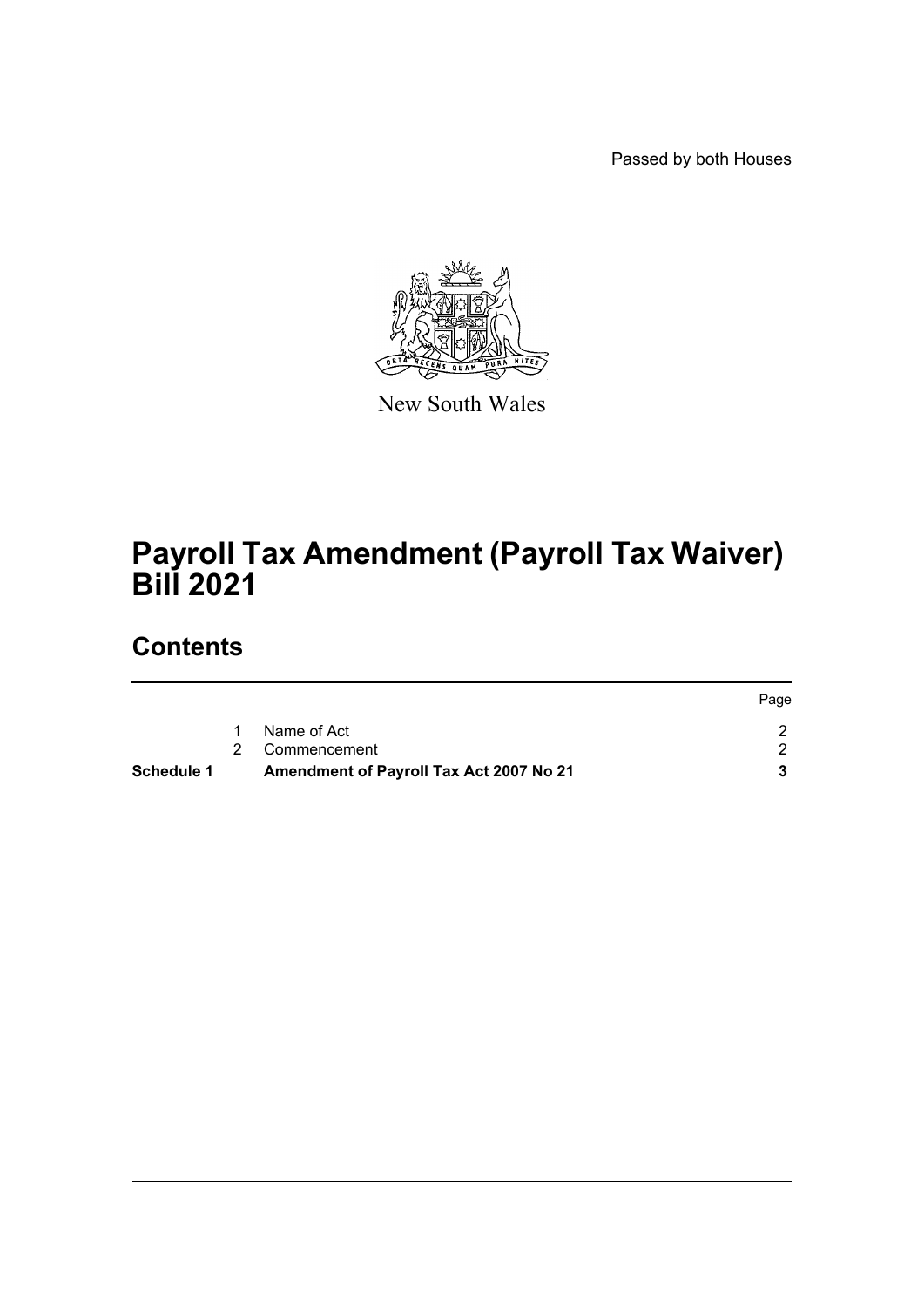Passed by both Houses



New South Wales

# **Payroll Tax Amendment (Payroll Tax Waiver) Bill 2021**

### **Contents**

|                                         | Page |
|-----------------------------------------|------|
| Name of Act                             |      |
| 2 Commencement                          |      |
| Amendment of Payroll Tax Act 2007 No 21 |      |
|                                         |      |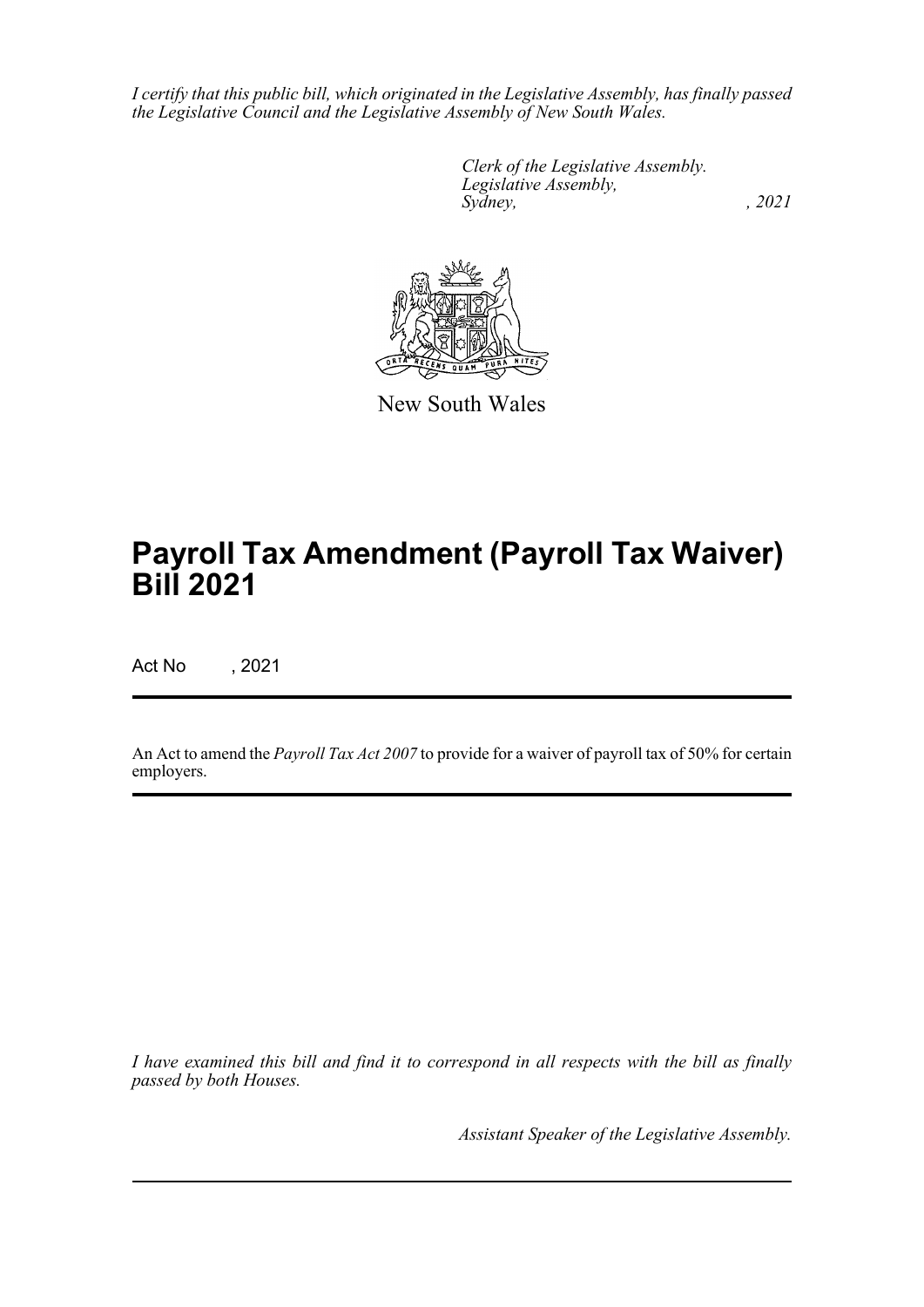*I certify that this public bill, which originated in the Legislative Assembly, has finally passed the Legislative Council and the Legislative Assembly of New South Wales.*

> *Clerk of the Legislative Assembly. Legislative Assembly, Sydney, , 2021*



New South Wales

# **Payroll Tax Amendment (Payroll Tax Waiver) Bill 2021**

Act No , 2021

An Act to amend the *Payroll Tax Act 2007* to provide for a waiver of payroll tax of 50% for certain employers.

*I have examined this bill and find it to correspond in all respects with the bill as finally passed by both Houses.*

*Assistant Speaker of the Legislative Assembly.*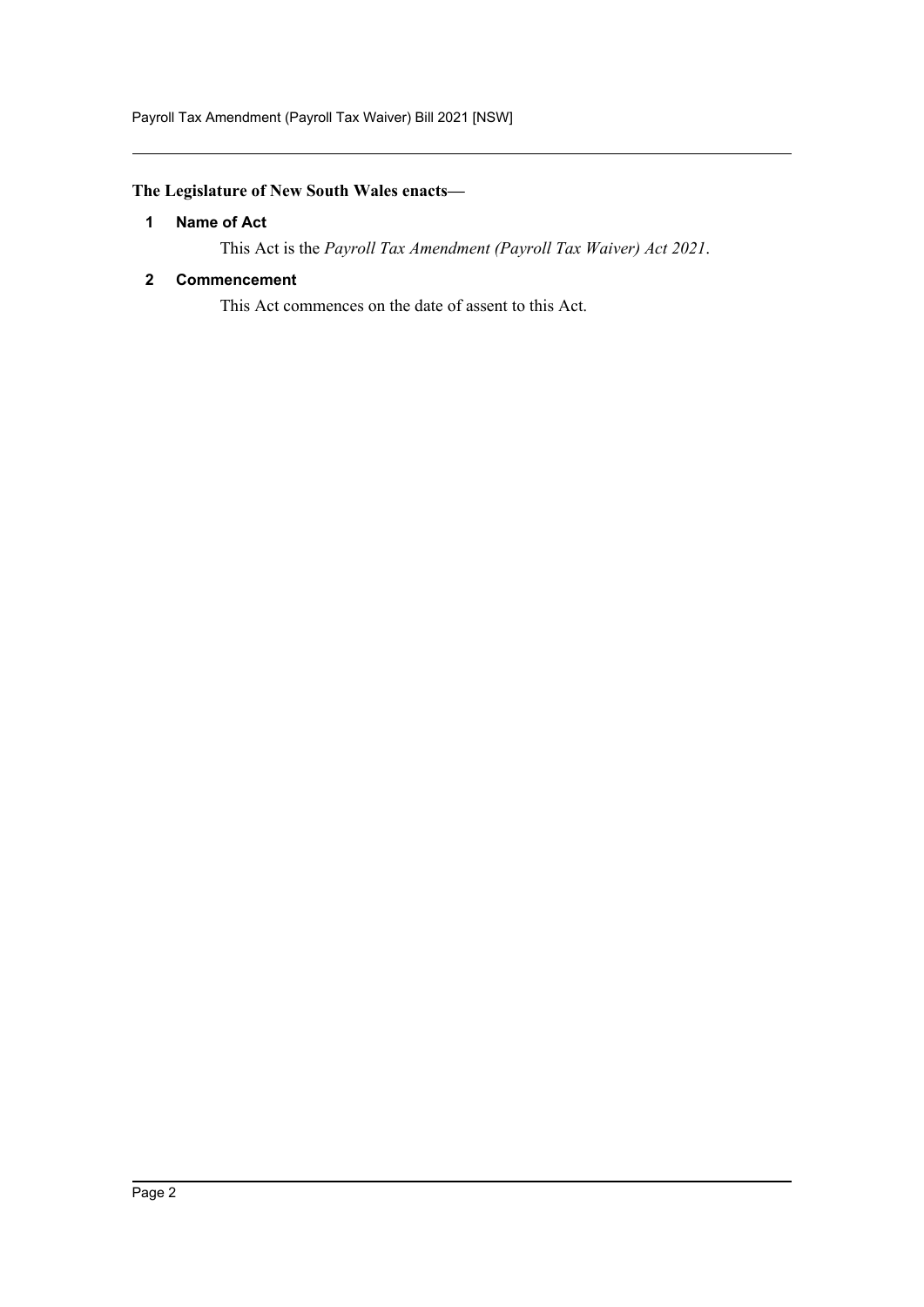Payroll Tax Amendment (Payroll Tax Waiver) Bill 2021 [NSW]

#### <span id="page-2-0"></span>**The Legislature of New South Wales enacts—**

#### **1 Name of Act**

This Act is the *Payroll Tax Amendment (Payroll Tax Waiver) Act 2021*.

#### <span id="page-2-1"></span>**2 Commencement**

This Act commences on the date of assent to this Act.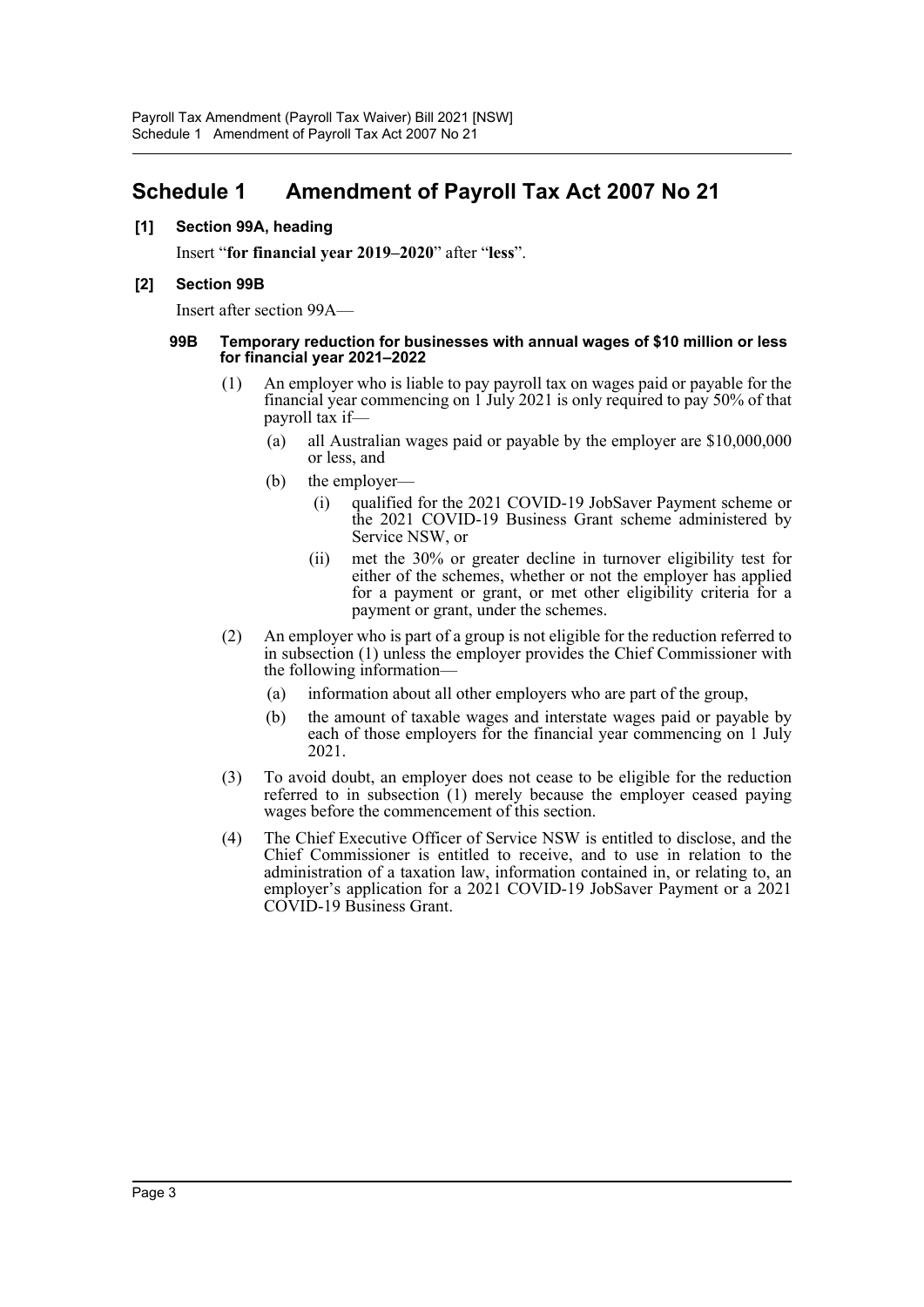### <span id="page-3-0"></span>**Schedule 1 Amendment of Payroll Tax Act 2007 No 21**

#### **[1] Section 99A, heading**

Insert "**for financial year 2019–2020**" after "**less**".

#### **[2] Section 99B**

Insert after section 99A—

#### **99B Temporary reduction for businesses with annual wages of \$10 million or less for financial year 2021–2022**

- (1) An employer who is liable to pay payroll tax on wages paid or payable for the financial year commencing on 1 July 2021 is only required to pay 50% of that payroll tax if—
	- (a) all Australian wages paid or payable by the employer are \$10,000,000 or less, and
	- (b) the employer—
		- (i) qualified for the 2021 COVID-19 JobSaver Payment scheme or the 2021 COVID-19 Business Grant scheme administered by Service NSW, or
		- (ii) met the 30% or greater decline in turnover eligibility test for either of the schemes, whether or not the employer has applied for a payment or grant, or met other eligibility criteria for a payment or grant, under the schemes.
- (2) An employer who is part of a group is not eligible for the reduction referred to in subsection (1) unless the employer provides the Chief Commissioner with the following information—
	- (a) information about all other employers who are part of the group,
	- (b) the amount of taxable wages and interstate wages paid or payable by each of those employers for the financial year commencing on 1 July 2021.
- (3) To avoid doubt, an employer does not cease to be eligible for the reduction referred to in subsection (1) merely because the employer ceased paying wages before the commencement of this section.
- (4) The Chief Executive Officer of Service NSW is entitled to disclose, and the Chief Commissioner is entitled to receive, and to use in relation to the administration of a taxation law, information contained in, or relating to, an employer's application for a 2021 COVID-19 JobSaver Payment or a 2021 COVID-19 Business Grant.